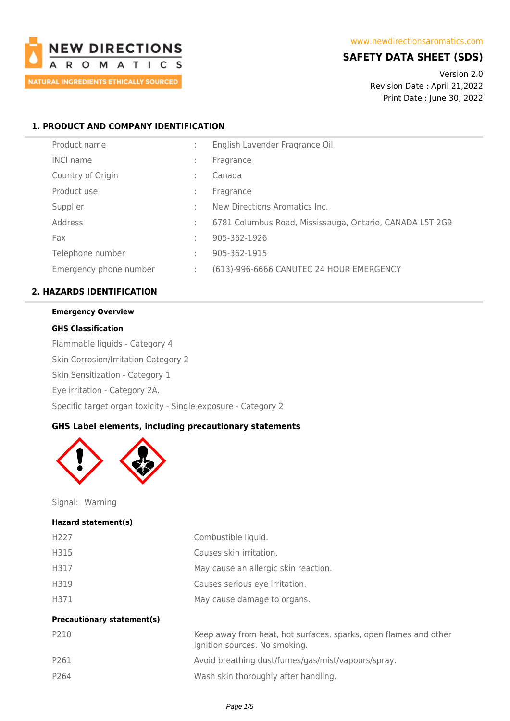

# **SAFETY DATA SHEET (SDS)**

Version 2.0 Revision Date : April 21,2022 Print Date : June 30, 2022

## **1. PRODUCT AND COMPANY IDENTIFICATION**

| Product name           | ÷            | English Lavender Fragrance Oil                           |
|------------------------|--------------|----------------------------------------------------------|
| <b>INCI name</b>       | $\mathbf{r}$ | Fragrance                                                |
| Country of Origin      |              | Canada                                                   |
| Product use            | ÷            | Fragrance                                                |
| Supplier               |              | New Directions Aromatics Inc.                            |
| Address                | ÷            | 6781 Columbus Road, Mississauga, Ontario, CANADA L5T 2G9 |
| Fax                    | ÷            | 905-362-1926                                             |
| Telephone number       | ÷            | 905-362-1915                                             |
| Emergency phone number | ÷            | (613)-996-6666 CANUTEC 24 HOUR EMERGENCY                 |

## **2. HAZARDS IDENTIFICATION**

#### **Emergency Overview**

### **GHS Classification**

Flammable liquids - Category 4 Skin Corrosion/Irritation Category 2 Skin Sensitization - Category 1 Eye irritation - Category 2A. Specific target organ toxicity - Single exposure - Category 2

## **GHS Label elements, including precautionary statements**



Signal: Warning

#### **Hazard statement(s)**

| H <sub>227</sub>                  | Combustible liquid.                                                                               |
|-----------------------------------|---------------------------------------------------------------------------------------------------|
| H315                              | Causes skin irritation.                                                                           |
| H317                              | May cause an allergic skin reaction.                                                              |
| H319                              | Causes serious eye irritation.                                                                    |
| H371                              | May cause damage to organs.                                                                       |
| <b>Precautionary statement(s)</b> |                                                                                                   |
| P210                              | Keep away from heat, hot surfaces, sparks, open flames and other<br>ignition sources. No smoking. |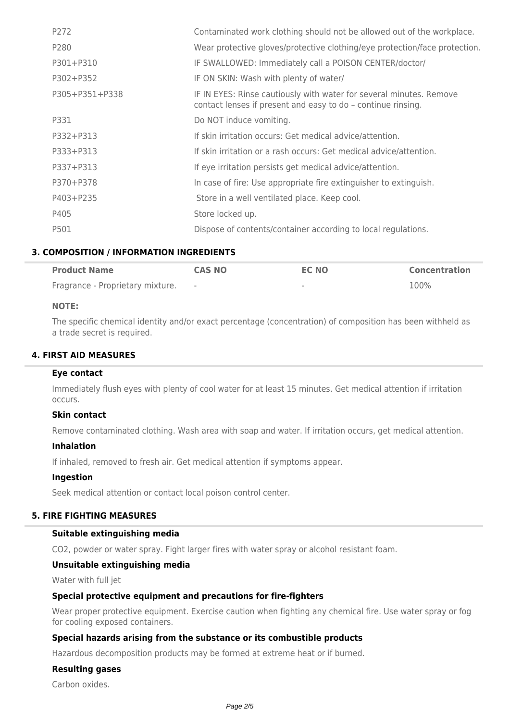| P272           | Contaminated work clothing should not be allowed out of the workplace.                                                              |
|----------------|-------------------------------------------------------------------------------------------------------------------------------------|
| P280           | Wear protective gloves/protective clothing/eye protection/face protection.                                                          |
| P301+P310      | IF SWALLOWED: Immediately call a POISON CENTER/doctor/                                                                              |
| P302+P352      | IF ON SKIN: Wash with plenty of water/                                                                                              |
| P305+P351+P338 | IF IN EYES: Rinse cautiously with water for several minutes. Remove<br>contact lenses if present and easy to do - continue rinsing. |
| P331           | Do NOT induce vomiting.                                                                                                             |
| P332+P313      | If skin irritation occurs: Get medical advice/attention.                                                                            |
| P333+P313      | If skin irritation or a rash occurs: Get medical advice/attention.                                                                  |
| P337+P313      | If eye irritation persists get medical advice/attention.                                                                            |
| P370+P378      | In case of fire: Use appropriate fire extinguisher to extinguish.                                                                   |
| P403+P235      | Store in a well ventilated place. Keep cool.                                                                                        |
| P405           | Store locked up.                                                                                                                    |
| P501           | Dispose of contents/container according to local regulations.                                                                       |

## **3. COMPOSITION / INFORMATION INGREDIENTS**

| <b>Product Name</b>              | <b>CAS NO</b> | <b>EC NO</b> | <b>Concentration</b> |
|----------------------------------|---------------|--------------|----------------------|
| Fragrance - Proprietary mixture. |               | $\sim$       | 100%                 |

## **NOTE:**

The specific chemical identity and/or exact percentage (concentration) of composition has been withheld as a trade secret is required.

## **4. FIRST AID MEASURES**

### **Eye contact**

Immediately flush eyes with plenty of cool water for at least 15 minutes. Get medical attention if irritation occurs.

## **Skin contact**

Remove contaminated clothing. Wash area with soap and water. If irritation occurs, get medical attention.

### **Inhalation**

If inhaled, removed to fresh air. Get medical attention if symptoms appear.

### **Ingestion**

Seek medical attention or contact local poison control center.

## **5. FIRE FIGHTING MEASURES**

### **Suitable extinguishing media**

CO2, powder or water spray. Fight larger fires with water spray or alcohol resistant foam.

### **Unsuitable extinguishing media**

Water with full jet

### **Special protective equipment and precautions for fire-fighters**

Wear proper protective equipment. Exercise caution when fighting any chemical fire. Use water spray or fog for cooling exposed containers.

### **Special hazards arising from the substance or its combustible products**

Hazardous decomposition products may be formed at extreme heat or if burned.

## **Resulting gases**

Carbon oxides.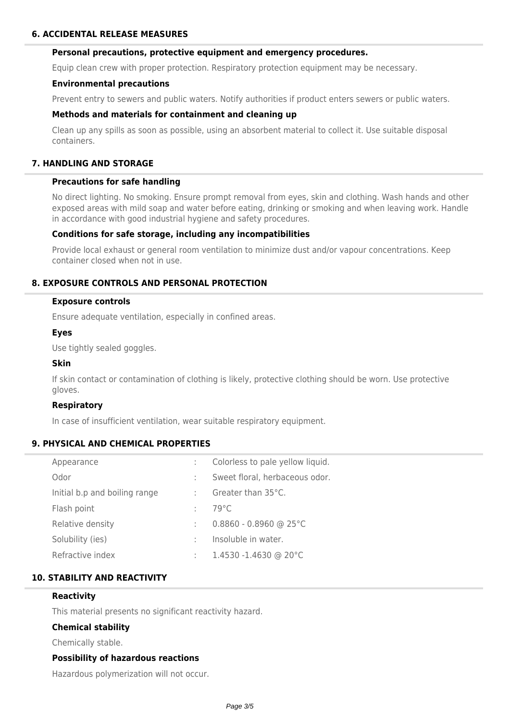### **Personal precautions, protective equipment and emergency procedures.**

Equip clean crew with proper protection. Respiratory protection equipment may be necessary.

#### **Environmental precautions**

Prevent entry to sewers and public waters. Notify authorities if product enters sewers or public waters.

#### **Methods and materials for containment and cleaning up**

Clean up any spills as soon as possible, using an absorbent material to collect it. Use suitable disposal containers.

## **7. HANDLING AND STORAGE**

#### **Precautions for safe handling**

No direct lighting. No smoking. Ensure prompt removal from eyes, skin and clothing. Wash hands and other exposed areas with mild soap and water before eating, drinking or smoking and when leaving work. Handle in accordance with good industrial hygiene and safety procedures.

### **Conditions for safe storage, including any incompatibilities**

Provide local exhaust or general room ventilation to minimize dust and/or vapour concentrations. Keep container closed when not in use.

### **8. EXPOSURE CONTROLS AND PERSONAL PROTECTION**

#### **Exposure controls**

Ensure adequate ventilation, especially in confined areas.

#### **Eyes**

Use tightly sealed goggles.

#### **Skin**

If skin contact or contamination of clothing is likely, protective clothing should be worn. Use protective gloves.

### **Respiratory**

In case of insufficient ventilation, wear suitable respiratory equipment.

### **9. PHYSICAL AND CHEMICAL PROPERTIES**

| Appearance                    | ÷ | Colorless to pale yellow liquid. |
|-------------------------------|---|----------------------------------|
| Odor                          | ÷ | Sweet floral, herbaceous odor.   |
| Initial b.p and boiling range | ÷ | Greater than 35°C.               |
| Flash point                   | ÷ | 79°C                             |
| Relative density              | ÷ | $0.8860 - 0.8960$ @ 25°C         |
| Solubility (ies)              | ÷ | Insoluble in water.              |
| Refractive index              | ÷ | $1.4530 - 1.4630$ @ 20°C         |

## **10. STABILITY AND REACTIVITY**

#### **Reactivity**

This material presents no significant reactivity hazard.

### **Chemical stability**

Chemically stable.

### **Possibility of hazardous reactions**

Hazardous polymerization will not occur.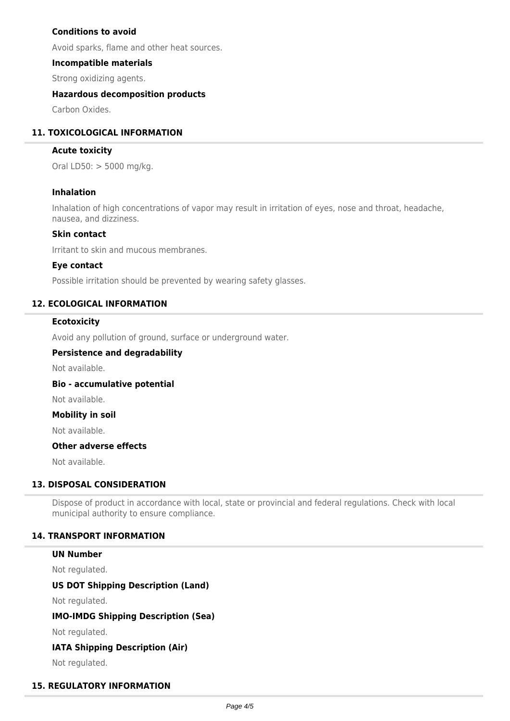## **Conditions to avoid**

Avoid sparks, flame and other heat sources.

#### **Incompatible materials**

Strong oxidizing agents.

### **Hazardous decomposition products**

Carbon Oxides.

### **11. TOXICOLOGICAL INFORMATION**

#### **Acute toxicity**

Oral LD50: > 5000 mg/kg.

#### **Inhalation**

Inhalation of high concentrations of vapor may result in irritation of eyes, nose and throat, headache, nausea, and dizziness.

#### **Skin contact**

Irritant to skin and mucous membranes.

#### **Eye contact**

Possible irritation should be prevented by wearing safety glasses.

### **12. ECOLOGICAL INFORMATION**

#### **Ecotoxicity**

Avoid any pollution of ground, surface or underground water.

#### **Persistence and degradability**

Not available.

#### **Bio - accumulative potential**

Not available.

#### **Mobility in soil**

Not available.

# **Other adverse effects**

Not available.

## **13. DISPOSAL CONSIDERATION**

Dispose of product in accordance with local, state or provincial and federal regulations. Check with local municipal authority to ensure compliance.

### **14. TRANSPORT INFORMATION**

#### **UN Number**

Not regulated.

## **US DOT Shipping Description (Land)**

Not regulated.

## **IMO-IMDG Shipping Description (Sea)**

Not regulated.

### **IATA Shipping Description (Air)**

Not regulated.

### **15. REGULATORY INFORMATION**